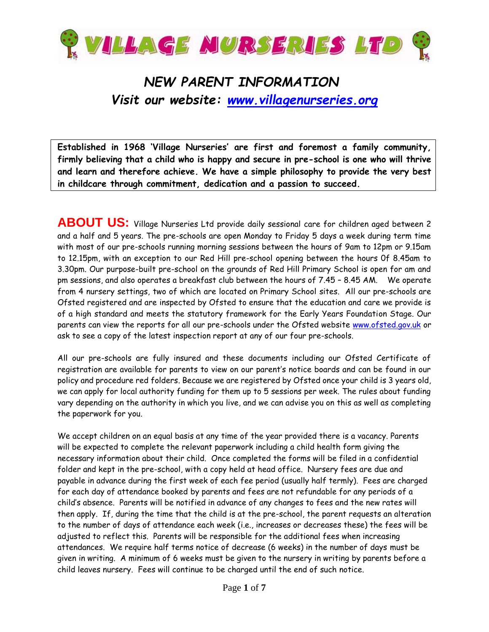

## *NEW PARENT INFORMATION Visit our website: [www.villagenurseries.org](http://www.villagenurseries.org/)*

**Established in 1968 'Village Nurseries' are first and foremost a family community, firmly believing that a child who is happy and secure in pre-school is one who will thrive and learn and therefore achieve. We have a simple philosophy to provide the very best in childcare through commitment, dedication and a passion to succeed.** 

**ABOUT US:** Village Nurseries Ltd provide daily sessional care for children aged between 2 and a half and 5 years. The pre-schools are open Monday to Friday 5 days a week during term time with most of our pre-schools running morning sessions between the hours of 9am to 12pm or 9.15am to 12.15pm, with an exception to our Red Hill pre-school opening between the hours 0f 8.45am to 3.30pm. Our purpose-built pre-school on the grounds of Red Hill Primary School is open for am and pm sessions, and also operates a breakfast club between the hours of 7.45 – 8.45 AM. We operate from 4 nursery settings, two of which are located on Primary School sites. All our pre-schools are Ofsted registered and are inspected by Ofsted to ensure that the education and care we provide is of a high standard and meets the statutory framework for the Early Years Foundation Stage. Our parents can view the reports for all our pre-schools under the Ofsted website [www.ofsted.gov.uk](http://www.ofsted.gov.uk/) or ask to see a copy of the latest inspection report at any of our four pre-schools.

All our pre-schools are fully insured and these documents including our Ofsted Certificate of registration are available for parents to view on our parent's notice boards and can be found in our policy and procedure red folders. Because we are registered by Ofsted once your child is 3 years old, we can apply for local authority funding for them up to 5 sessions per week. The rules about funding vary depending on the authority in which you live, and we can advise you on this as well as completing the paperwork for you.

We accept children on an equal basis at any time of the year provided there is a vacancy. Parents will be expected to complete the relevant paperwork including a child health form giving the necessary information about their child. Once completed the forms will be filed in a confidential folder and kept in the pre-school, with a copy held at head office. Nursery fees are due and payable in advance during the first week of each fee period (usually half termly). Fees are charged for each day of attendance booked by parents and fees are not refundable for any periods of a child's absence. Parents will be notified in advance of any changes to fees and the new rates will then apply. If, during the time that the child is at the pre-school, the parent requests an alteration to the number of days of attendance each week (i.e., increases or decreases these) the fees will be adjusted to reflect this. Parents will be responsible for the additional fees when increasing attendances. We require half terms notice of decrease (6 weeks) in the number of days must be given in writing. A minimum of 6 weeks must be given to the nursery in writing by parents before a child leaves nursery. Fees will continue to be charged until the end of such notice.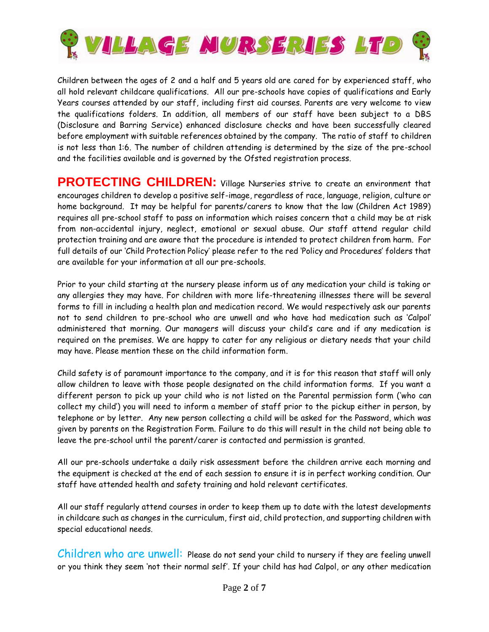

Children between the ages of 2 and a half and 5 years old are cared for by experienced staff, who all hold relevant childcare qualifications. All our pre-schools have copies of qualifications and Early Years courses attended by our staff, including first aid courses. Parents are very welcome to view the qualifications folders. In addition, all members of our staff have been subject to a DBS (Disclosure and Barring Service) enhanced disclosure checks and have been successfully cleared before employment with suitable references obtained by the company. The ratio of staff to children is not less than 1:6. The number of children attending is determined by the size of the pre-school and the facilities available and is governed by the Ofsted registration process.

**PROTECTING CHILDREN:** Village Nurseries strive to create an environment that encourages children to develop a positive self-image, regardless of race, language, religion, culture or home background. It may be helpful for parents/carers to know that the law (Children Act 1989) requires all pre-school staff to pass on information which raises concern that a child may be at risk from non-accidental injury, neglect, emotional or sexual abuse. Our staff attend regular child protection training and are aware that the procedure is intended to protect children from harm. For full details of our 'Child Protection Policy' please refer to the red 'Policy and Procedures' folders that are available for your information at all our pre-schools.

Prior to your child starting at the nursery please inform us of any medication your child is taking or any allergies they may have. For children with more life-threatening illnesses there will be several forms to fill in including a health plan and medication record. We would respectively ask our parents not to send children to pre-school who are unwell and who have had medication such as 'Calpol' administered that morning. Our managers will discuss your child's care and if any medication is required on the premises. We are happy to cater for any religious or dietary needs that your child may have. Please mention these on the child information form.

Child safety is of paramount importance to the company, and it is for this reason that staff will only allow children to leave with those people designated on the child information forms. If you want a different person to pick up your child who is not listed on the Parental permission form ('who can collect my child') you will need to inform a member of staff prior to the pickup either in person, by telephone or by letter. Any new person collecting a child will be asked for the Password, which was given by parents on the Registration Form. Failure to do this will result in the child not being able to leave the pre-school until the parent/carer is contacted and permission is granted.

All our pre-schools undertake a daily risk assessment before the children arrive each morning and the equipment is checked at the end of each session to ensure it is in perfect working condition. Our staff have attended health and safety training and hold relevant certificates.

All our staff regularly attend courses in order to keep them up to date with the latest developments in childcare such as changes in the curriculum, first aid, child protection, and supporting children with special educational needs.

Children who are unwell: Please do not send your child to nursery if they are feeling unwell or you think they seem 'not their normal self'. If your child has had Calpol, or any other medication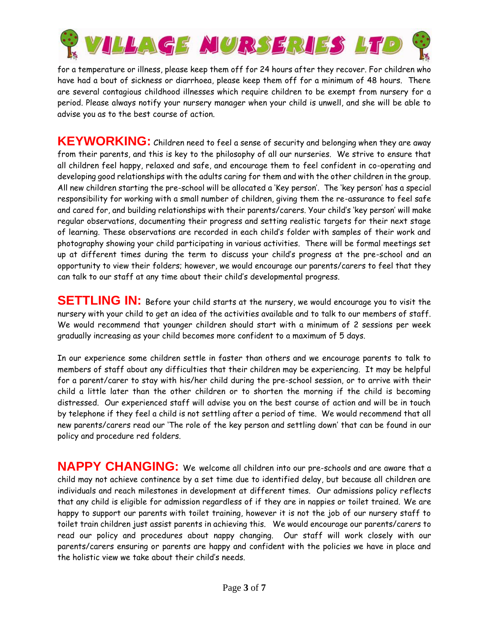

for a temperature or illness, please keep them off for 24 hours after they recover. For children who have had a bout of sickness or diarrhoea, please keep them off for a minimum of 48 hours. There are several contagious childhood illnesses which require children to be exempt from nursery for a period. Please always notify your nursery manager when your child is unwell, and she will be able to advise you as to the best course of action.

**KEYWORKING:** Children need to feel a sense of security and belonging when they are away from their parents, and this is key to the philosophy of all our nurseries. We strive to ensure that all children feel happy, relaxed and safe, and encourage them to feel confident in co-operating and developing good relationships with the adults caring for them and with the other children in the group. All new children starting the pre-school will be allocated a 'Key person'. The 'key person' has a special responsibility for working with a small number of children, giving them the re-assurance to feel safe and cared for, and building relationships with their parents/carers. Your child's 'key person' will make regular observations, documenting their progress and setting realistic targets for their next stage of learning. These observations are recorded in each child's folder with samples of their work and photography showing your child participating in various activities. There will be formal meetings set up at different times during the term to discuss your child's progress at the pre-school and an opportunity to view their folders; however, we would encourage our parents/carers to feel that they can talk to our staff at any time about their child's developmental progress.

**SETTLING IN:** Before your child starts at the nursery, we would encourage you to visit the nursery with your child to get an idea of the activities available and to talk to our members of staff. We would recommend that younger children should start with a minimum of 2 sessions per week gradually increasing as your child becomes more confident to a maximum of 5 days.

In our experience some children settle in faster than others and we encourage parents to talk to members of staff about any difficulties that their children may be experiencing. It may be helpful for a parent/carer to stay with his/her child during the pre-school session, or to arrive with their child a little later than the other children or to shorten the morning if the child is becoming distressed. Our experienced staff will advise you on the best course of action and will be in touch by telephone if they feel a child is not settling after a period of time. We would recommend that all new parents/carers read our 'The role of the key person and settling down' that can be found in our policy and procedure red folders.

**NAPPY CHANGING:** We welcome all children into our pre-schools and are aware that a child may not achieve continence by a set time due to identified delay, but because all children are individuals and reach milestones in development at different times. Our admissions policy reflects that any child is eligible for admission regardless of if they are in nappies or toilet trained. We are happy to support our parents with toilet training, however it is not the job of our nursery staff to toilet train children just assist parents in achieving this. We would encourage our parents/carers to read our policy and procedures about nappy changing. Our staff will work closely with our parents/carers ensuring or parents are happy and confident with the policies we have in place and the holistic view we take about their child's needs.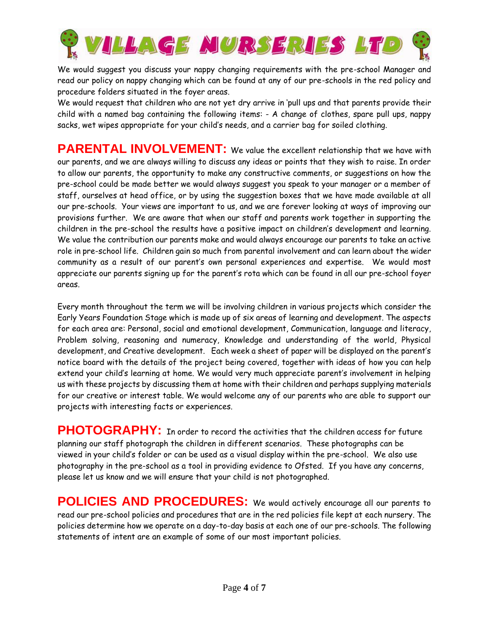

We would suggest you discuss your nappy changing requirements with the pre-school Manager and read our policy on nappy changing which can be found at any of our pre-schools in the red policy and procedure folders situated in the foyer areas.

We would request that children who are not yet dry arrive in 'pull ups and that parents provide their child with a named bag containing the following items: - A change of clothes, spare pull ups, nappy sacks, wet wipes appropriate for your child's needs, and a carrier bag for soiled clothing.

**PARENTAL INVOLVEMENT:** We value the excellent relationship that we have with our parents, and we are always willing to discuss any ideas or points that they wish to raise. In order to allow our parents, the opportunity to make any constructive comments, or suggestions on how the pre-school could be made better we would always suggest you speak to your manager or a member of staff, ourselves at head office, or by using the suggestion boxes that we have made available at all our pre-schools. Your views are important to us, and we are forever looking at ways of improving our provisions further. We are aware that when our staff and parents work together in supporting the children in the pre-school the results have a positive impact on children's development and learning. We value the contribution our parents make and would always encourage our parents to take an active role in pre-school life. Children gain so much from parental involvement and can learn about the wider community as a result of our parent's own personal experiences and expertise. We would most appreciate our parents signing up for the parent's rota which can be found in all our pre-school foyer areas.

Every month throughout the term we will be involving children in various projects which consider the Early Years Foundation Stage which is made up of six areas of learning and development. The aspects for each area are: Personal, social and emotional development, Communication, language and literacy, Problem solving, reasoning and numeracy, Knowledge and understanding of the world, Physical development, and Creative development. Each week a sheet of paper will be displayed on the parent's notice board with the details of the project being covered, together with ideas of how you can help extend your child's learning at home. We would very much appreciate parent's involvement in helping us with these projects by discussing them at home with their children and perhaps supplying materials for our creative or interest table. We would welcome any of our parents who are able to support our projects with interesting facts or experiences.

**PHOTOGRAPHY:** In order to record the activities that the children access for future planning our staff photograph the children in different scenarios. These photographs can be viewed in your child's folder or can be used as a visual display within the pre-school. We also use photography in the pre-school as a tool in providing evidence to Ofsted. If you have any concerns, please let us know and we will ensure that your child is not photographed.

**POLICIES AND PROCEDURES:** We would actively encourage all our parents to read our pre-school policies and procedures that are in the red policies file kept at each nursery. The policies determine how we operate on a day-to-day basis at each one of our pre-schools. The following statements of intent are an example of some of our most important policies.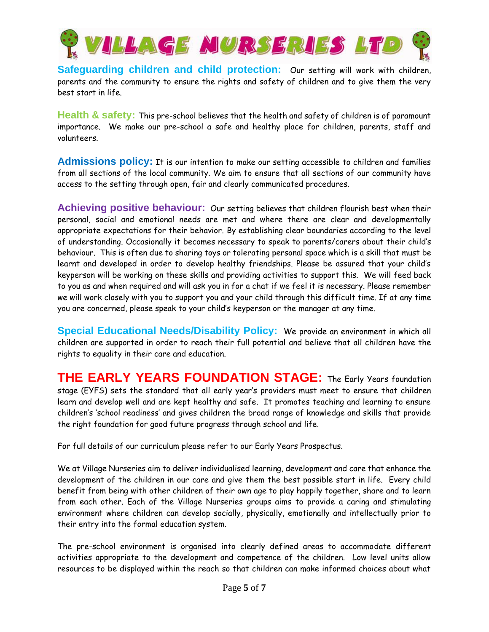

**Safeguarding children and child protection:** Our setting will work with children, parents and the community to ensure the rights and safety of children and to give them the very best start in life.

**Health & safety:** This pre-school believes that the health and safety of children is of paramount importance. We make our pre-school a safe and healthy place for children, parents, staff and volunteers.

**Admissions policy:** It is our intention to make our setting accessible to children and families from all sections of the local community. We aim to ensure that all sections of our community have access to the setting through open, fair and clearly communicated procedures.

**Achieving positive behaviour:** Our setting believes that children flourish best when their personal, social and emotional needs are met and where there are clear and developmentally appropriate expectations for their behavior. By establishing clear boundaries according to the level of understanding. Occasionally it becomes necessary to speak to parents/carers about their child's behaviour. This is often due to sharing toys or tolerating personal space which is a skill that must be learnt and developed in order to develop healthy friendships. Please be assured that your child's keyperson will be working on these skills and providing activities to support this. We will feed back to you as and when required and will ask you in for a chat if we feel it is necessary. Please remember we will work closely with you to support you and your child through this difficult time. If at any time you are concerned, please speak to your child's keyperson or the manager at any time.

**Special Educational Needs/Disability Policy:** We provide an environment in which all children are supported in order to reach their full potential and believe that all children have the rights to equality in their care and education.

**THE EARLY YEARS FOUNDATION STAGE:** The Early Years foundation stage (EYFS) sets the standard that all early year's providers must meet to ensure that children learn and develop well and are kept healthy and safe. It promotes teaching and learning to ensure children's 'school readiness' and gives children the broad range of knowledge and skills that provide the right foundation for good future progress through school and life.

For full details of our curriculum please refer to our Early Years Prospectus.

We at Village Nurseries aim to deliver individualised learning, development and care that enhance the development of the children in our care and give them the best possible start in life. Every child benefit from being with other children of their own age to play happily together, share and to learn from each other. Each of the Village Nurseries groups aims to provide a caring and stimulating environment where children can develop socially, physically, emotionally and intellectually prior to their entry into the formal education system.

The pre-school environment is organised into clearly defined areas to accommodate different activities appropriate to the development and competence of the children. Low level units allow resources to be displayed within the reach so that children can make informed choices about what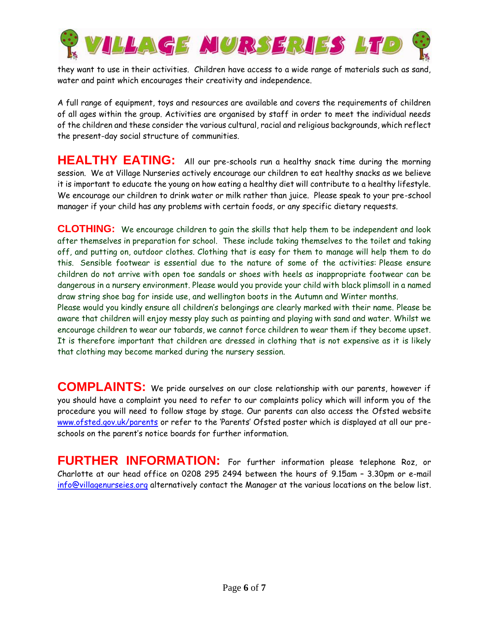

they want to use in their activities. Children have access to a wide range of materials such as sand, water and paint which encourages their creativity and independence.

A full range of equipment, toys and resources are available and covers the requirements of children of all ages within the group. Activities are organised by staff in order to meet the individual needs of the children and these consider the various cultural, racial and religious backgrounds, which reflect the present-day social structure of communities.

**HEALTHY EATING:** All our pre-schools run a healthy snack time during the morning session. We at Village Nurseries actively encourage our children to eat healthy snacks as we believe it is important to educate the young on how eating a healthy diet will contribute to a healthy lifestyle. We encourage our children to drink water or milk rather than juice. Please speak to your pre-school manager if your child has any problems with certain foods, or any specific dietary requests.

**CLOTHING:** We encourage children to gain the skills that help them to be independent and look after themselves in preparation for school. These include taking themselves to the toilet and taking off, and putting on, outdoor clothes. Clothing that is easy for them to manage will help them to do this. Sensible footwear is essential due to the nature of some of the activities: Please ensure children do not arrive with open toe sandals or shoes with heels as inappropriate footwear can be dangerous in a nursery environment. Please would you provide your child with black plimsoll in a named draw string shoe bag for inside use, and wellington boots in the Autumn and Winter months.

Please would you kindly ensure all children's belongings are clearly marked with their name. Please be aware that children will enjoy messy play such as painting and playing with sand and water. Whilst we encourage children to wear our tabards, we cannot force children to wear them if they become upset. It is therefore important that children are dressed in clothing that is not expensive as it is likely that clothing may become marked during the nursery session.

**COMPLAINTS:** We pride ourselves on our close relationship with our parents, however if you should have a complaint you need to refer to our complaints policy which will inform you of the procedure you will need to follow stage by stage. Our parents can also access the Ofsted website [www.ofsted.gov.uk/parents](http://www.ofsted.gov.uk/parents) or refer to the 'Parents' Ofsted poster which is displayed at all our preschools on the parent's notice boards for further information.

**FURTHER INFORMATION:** For further information please telephone Roz, or Charlotte at our head office on 0208 295 2494 between the hours of 9.15am – 3.30pm or e-mail [info@villagenurseies.org](mailto:info@villagenurseies.org) alternatively contact the Manager at the various locations on the below list.